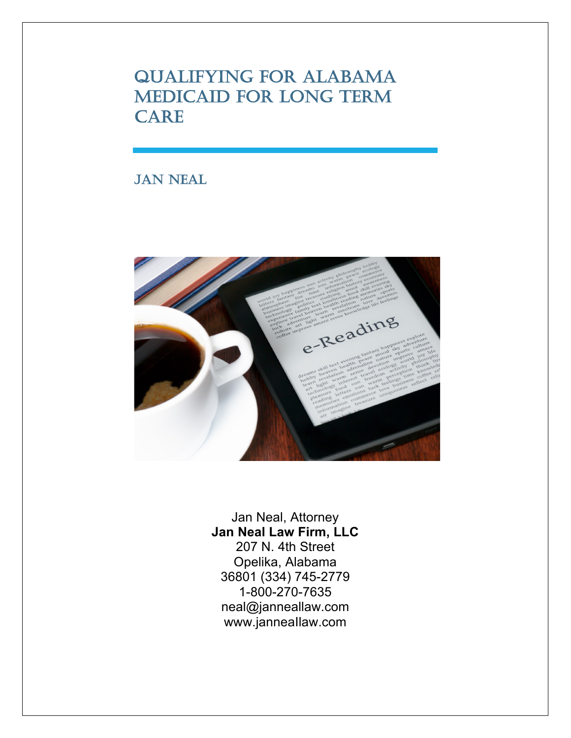QUALIFYING FOR ALABAMA MEDICAID FOR LONG TERM CARE

# JAN NEAL



Jan Neal, Attorney **Jan Neal Law Firm, LLC** 207 N. 4th Street Opelika, Alabama 36801 (334) 745-2779 1-800-270-7635 neal@janneallaw.com www.janneaIlaw.com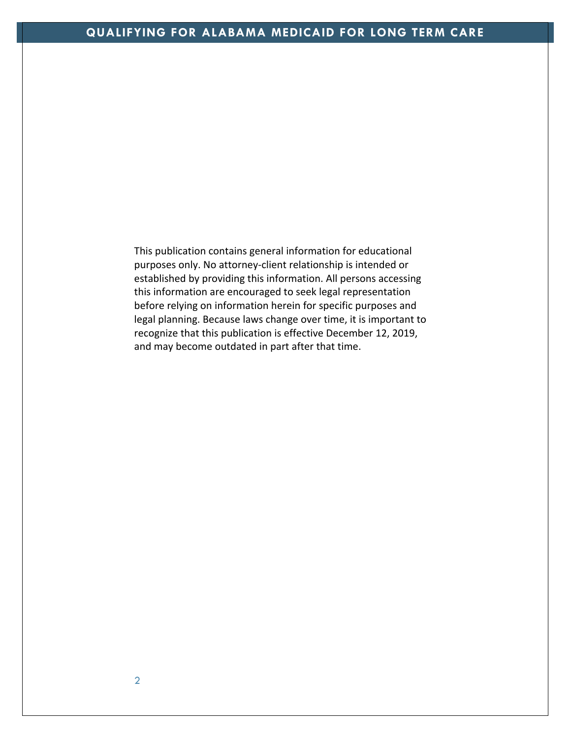This publication contains general information for educational purposes only. No attorney-client relationship is intended or established by providing this information. All persons accessing this information are encouraged to seek legal representation before relying on information herein for specific purposes and legal planning. Because laws change over time, it is important to recognize that this publication is effective December 12, 2019, and may become outdated in part after that time.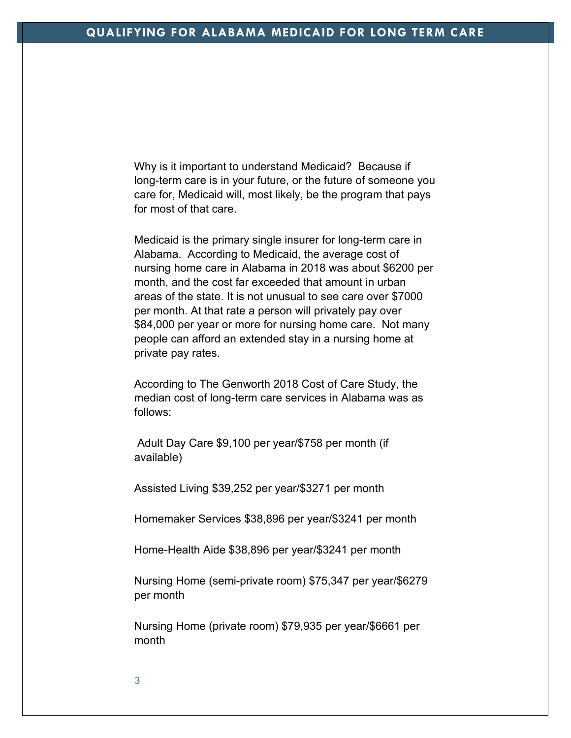Why is it important to understand Medicaid? Because if long-term care is in your future, or the future of someone you care for, Medicaid will, most likely, be the program that pays for most of that care.

Medicaid is the primary single insurer for long-term care in Alabama. According to Medicaid, the average cost of nursing home care in Alabama in 2018 was about \$6200 per month, and the cost far exceeded that amount in urban areas of the state. It is not unusual to see care over \$7000 per month. At that rate a person will privately pay over \$84,000 per year or more for nursing home care. Not many people can afford an extended stay in a nursing home at private pay rates.

According to The Genworth 2018 Cost of Care Study, the median cost of long-term care services in Alabama was as follows:

Adult Day Care \$9,100 per year/\$758 per month (if available)

Assisted Living \$39,252 per year/\$3271 per month

Homemaker Services \$38,896 per year/\$3241 per month

Home-Health Aide \$38,896 per year/\$3241 per month

Nursing Home (semi-private room) \$75,347 per year/\$6279 per month

Nursing Home (private room) \$79,935 per year/\$6661 per month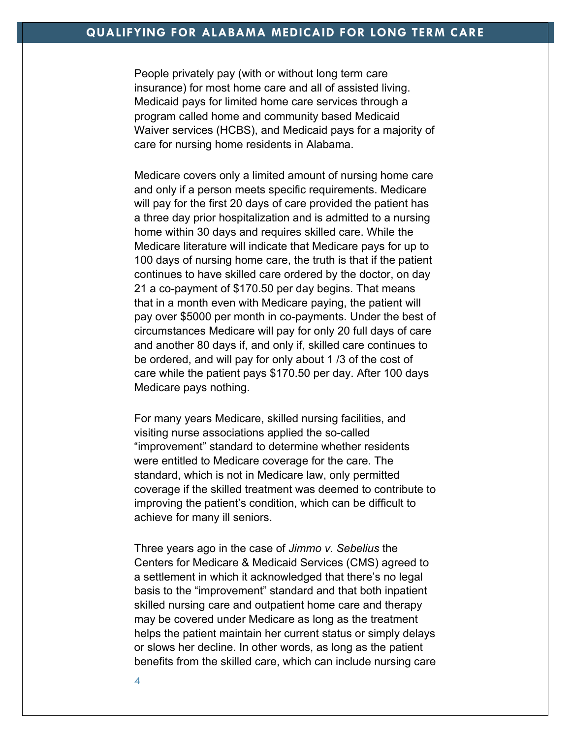People privately pay (with or without long term care insurance) for most home care and all of assisted living. Medicaid pays for limited home care services through a program called home and community based Medicaid Waiver services (HCBS), and Medicaid pays for a majority of care for nursing home residents in Alabama.

Medicare covers only a limited amount of nursing home care and only if a person meets specific requirements. Medicare will pay for the first 20 days of care provided the patient has a three day prior hospitalization and is admitted to a nursing home within 30 days and requires skilled care. While the Medicare literature will indicate that Medicare pays for up to 100 days of nursing home care, the truth is that if the patient continues to have skilled care ordered by the doctor, on day 21 a co-payment of \$170.50 per day begins. That means that in a month even with Medicare paying, the patient will pay over \$5000 per month in co-payments. Under the best of circumstances Medicare will pay for only 20 full days of care and another 80 days if, and only if, skilled care continues to be ordered, and will pay for only about 1 /3 of the cost of care while the patient pays \$170.50 per day. After 100 days Medicare pays nothing.

For many years Medicare, skilled nursing facilities, and visiting nurse associations applied the so-called "improvement" standard to determine whether residents were entitled to Medicare coverage for the care. The standard, which is not in Medicare law, only permitted coverage if the skilled treatment was deemed to contribute to improving the patient's condition, which can be difficult to achieve for many ill seniors.

Three years ago in the case of *Jimmo v. Sebelius* the Centers for Medicare & Medicaid Services (CMS) agreed to a settlement in which it acknowledged that there's no legal basis to the "improvement" standard and that both inpatient skilled nursing care and outpatient home care and therapy may be covered under Medicare as long as the treatment helps the patient maintain her current status or simply delays or slows her decline. In other words, as long as the patient benefits from the skilled care, which can include nursing care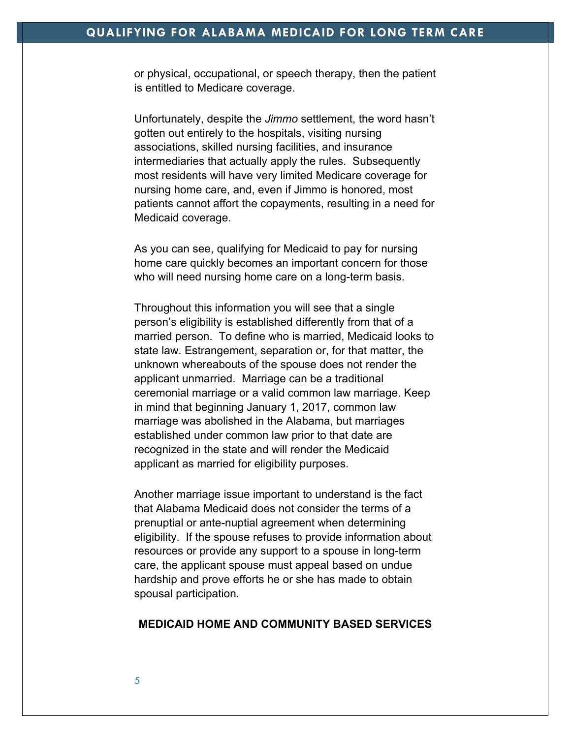or physical, occupational, or speech therapy, then the patient is entitled to Medicare coverage.

Unfortunately, despite the *Jimmo* settlement, the word hasn't gotten out entirely to the hospitals, visiting nursing associations, skilled nursing facilities, and insurance intermediaries that actually apply the rules. Subsequently most residents will have very limited Medicare coverage for nursing home care, and, even if Jimmo is honored, most patients cannot affort the copayments, resulting in a need for Medicaid coverage.

As you can see, qualifying for Medicaid to pay for nursing home care quickly becomes an important concern for those who will need nursing home care on a long-term basis.

Throughout this information you will see that a single person's eligibility is established differently from that of a married person. To define who is married, Medicaid looks to state law. Estrangement, separation or, for that matter, the unknown whereabouts of the spouse does not render the applicant unmarried. Marriage can be a traditional ceremonial marriage or a valid common law marriage. Keep in mind that beginning January 1, 2017, common law marriage was abolished in the Alabama, but marriages established under common law prior to that date are recognized in the state and will render the Medicaid applicant as married for eligibility purposes.

Another marriage issue important to understand is the fact that Alabama Medicaid does not consider the terms of a prenuptial or ante-nuptial agreement when determining eligibility. If the spouse refuses to provide information about resources or provide any support to a spouse in long-term care, the applicant spouse must appeal based on undue hardship and prove efforts he or she has made to obtain spousal participation.

# **MEDICAID HOME AND COMMUNITY BASED SERVICES**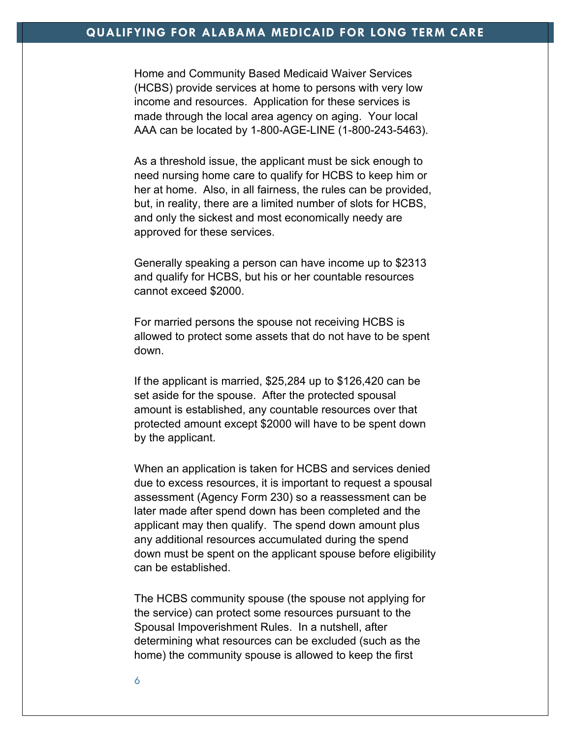Home and Community Based Medicaid Waiver Services (HCBS) provide services at home to persons with very low income and resources. Application for these services is made through the local area agency on aging. Your local AAA can be located by 1-800-AGE-LINE (1-800-243-5463).

As a threshold issue, the applicant must be sick enough to need nursing home care to qualify for HCBS to keep him or her at home. Also, in all fairness, the rules can be provided, but, in reality, there are a limited number of slots for HCBS, and only the sickest and most economically needy are approved for these services.

Generally speaking a person can have income up to \$2313 and qualify for HCBS, but his or her countable resources cannot exceed \$2000.

For married persons the spouse not receiving HCBS is allowed to protect some assets that do not have to be spent down.

If the applicant is married, \$25,284 up to \$126,420 can be set aside for the spouse. After the protected spousal amount is established, any countable resources over that protected amount except \$2000 will have to be spent down by the applicant.

When an application is taken for HCBS and services denied due to excess resources, it is important to request a spousal assessment (Agency Form 230) so a reassessment can be later made after spend down has been completed and the applicant may then qualify. The spend down amount plus any additional resources accumulated during the spend down must be spent on the applicant spouse before eligibility can be established.

The HCBS community spouse (the spouse not applying for the service) can protect some resources pursuant to the Spousal Impoverishment Rules. In a nutshell, after determining what resources can be excluded (such as the home) the community spouse is allowed to keep the first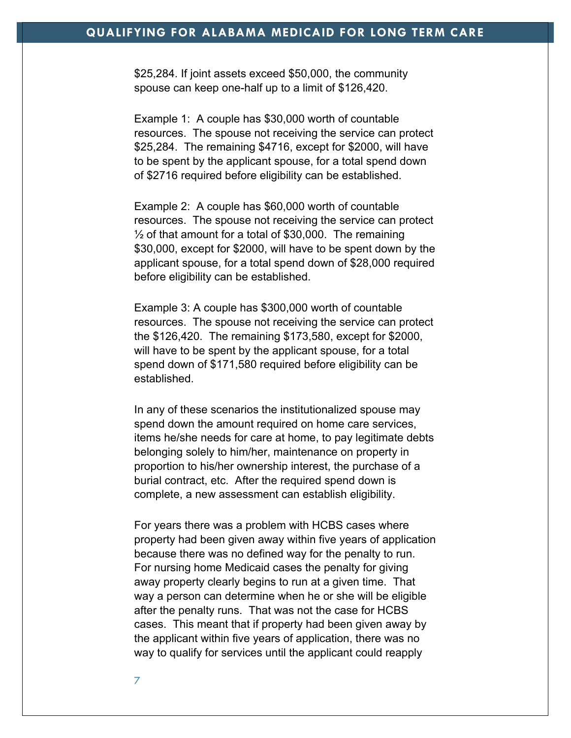\$25,284. If joint assets exceed \$50,000, the community spouse can keep one-half up to a limit of \$126,420.

Example 1: A couple has \$30,000 worth of countable resources. The spouse not receiving the service can protect \$25,284. The remaining \$4716, except for \$2000, will have to be spent by the applicant spouse, for a total spend down of \$2716 required before eligibility can be established.

Example 2: A couple has \$60,000 worth of countable resources. The spouse not receiving the service can protect  $\frac{1}{2}$  of that amount for a total of \$30,000. The remaining \$30,000, except for \$2000, will have to be spent down by the applicant spouse, for a total spend down of \$28,000 required before eligibility can be established.

Example 3: A couple has \$300,000 worth of countable resources. The spouse not receiving the service can protect the \$126,420. The remaining \$173,580, except for \$2000, will have to be spent by the applicant spouse, for a total spend down of \$171,580 required before eligibility can be established.

In any of these scenarios the institutionalized spouse may spend down the amount required on home care services, items he/she needs for care at home, to pay legitimate debts belonging solely to him/her, maintenance on property in proportion to his/her ownership interest, the purchase of a burial contract, etc. After the required spend down is complete, a new assessment can establish eligibility.

For years there was a problem with HCBS cases where property had been given away within five years of application because there was no defined way for the penalty to run. For nursing home Medicaid cases the penalty for giving away property clearly begins to run at a given time. That way a person can determine when he or she will be eligible after the penalty runs. That was not the case for HCBS cases. This meant that if property had been given away by the applicant within five years of application, there was no way to qualify for services until the applicant could reapply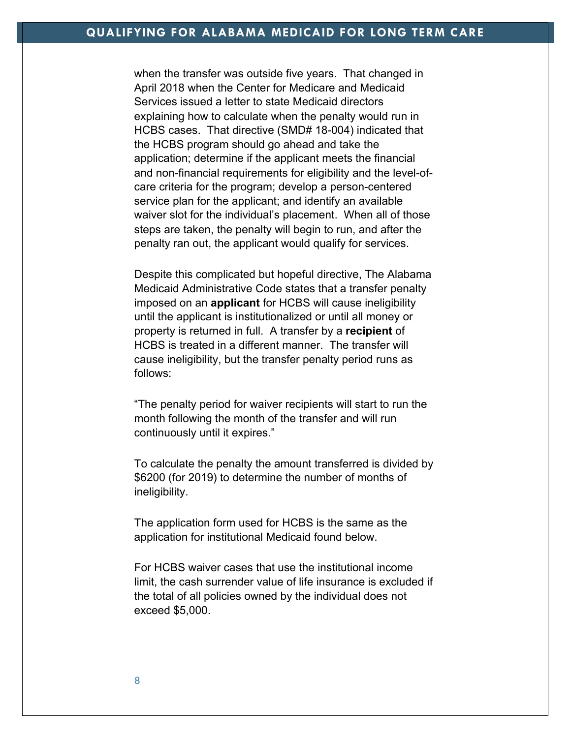when the transfer was outside five years. That changed in April 2018 when the Center for Medicare and Medicaid Services issued a letter to state Medicaid directors explaining how to calculate when the penalty would run in HCBS cases. That directive (SMD# 18-004) indicated that the HCBS program should go ahead and take the application; determine if the applicant meets the financial and non-financial requirements for eligibility and the level-ofcare criteria for the program; develop a person-centered service plan for the applicant; and identify an available waiver slot for the individual's placement. When all of those steps are taken, the penalty will begin to run, and after the penalty ran out, the applicant would qualify for services.

Despite this complicated but hopeful directive, The Alabama Medicaid Administrative Code states that a transfer penalty imposed on an **applicant** for HCBS will cause ineligibility until the applicant is institutionalized or until all money or property is returned in full. A transfer by a **recipient** of HCBS is treated in a different manner. The transfer will cause ineligibility, but the transfer penalty period runs as follows:

"The penalty period for waiver recipients will start to run the month following the month of the transfer and will run continuously until it expires."

To calculate the penalty the amount transferred is divided by \$6200 (for 2019) to determine the number of months of ineligibility.

The application form used for HCBS is the same as the application for institutional Medicaid found below.

For HCBS waiver cases that use the institutional income limit, the cash surrender value of life insurance is excluded if the total of all policies owned by the individual does not exceed \$5,000.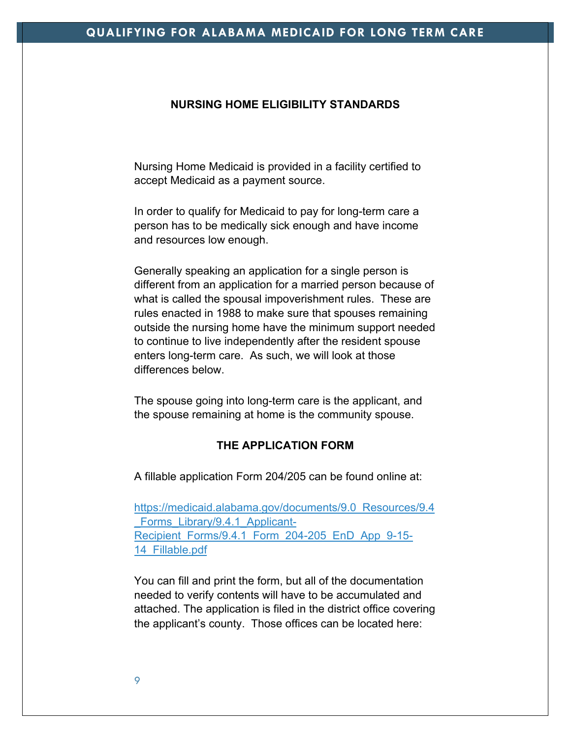#### **NURSING HOME ELIGIBILITY STANDARDS**

Nursing Home Medicaid is provided in a facility certified to accept Medicaid as a payment source.

In order to qualify for Medicaid to pay for long-term care a person has to be medically sick enough and have income and resources low enough.

Generally speaking an application for a single person is different from an application for a married person because of what is called the spousal impoverishment rules. These are rules enacted in 1988 to make sure that spouses remaining outside the nursing home have the minimum support needed to continue to live independently after the resident spouse enters long-term care. As such, we will look at those differences below.

The spouse going into long-term care is the applicant, and the spouse remaining at home is the community spouse.

## **THE APPLICATION FORM**

A fillable application Form 204/205 can be found online at:

https://medicaid.alabama.gov/documents/9.0\_Resources/9.4 Forms Library/9.4.1 Applicant-Recipient Forms/9.4.1 Form 204-205 EnD App 9-15-14\_Fillable.pdf

You can fill and print the form, but all of the documentation needed to verify contents will have to be accumulated and attached. The application is filed in the district office covering the applicant's county. Those offices can be located here: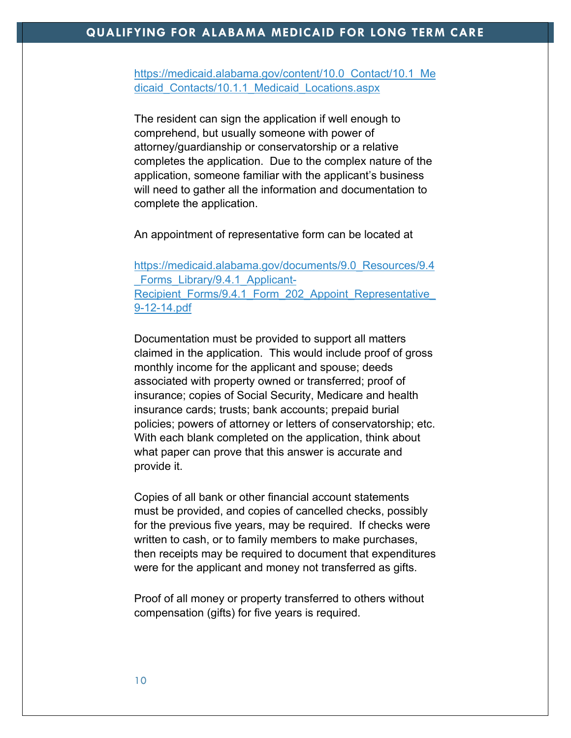https://medicaid.alabama.gov/content/10.0 Contact/10.1 Me dicaid\_Contacts/10.1.1\_Medicaid\_Locations.aspx

The resident can sign the application if well enough to comprehend, but usually someone with power of attorney/guardianship or conservatorship or a relative completes the application. Due to the complex nature of the application, someone familiar with the applicant's business will need to gather all the information and documentation to complete the application.

An appointment of representative form can be located at

https://medicaid.alabama.gov/documents/9.0\_Resources/9.4 Forms\_Library/9.4.1\_Applicant-Recipient Forms/9.4.1 Form 202 Appoint Representative 9-12-14.pdf

Documentation must be provided to support all matters claimed in the application. This would include proof of gross monthly income for the applicant and spouse; deeds associated with property owned or transferred; proof of insurance; copies of Social Security, Medicare and health insurance cards; trusts; bank accounts; prepaid burial policies; powers of attorney or letters of conservatorship; etc. With each blank completed on the application, think about what paper can prove that this answer is accurate and provide it.

Copies of all bank or other financial account statements must be provided, and copies of cancelled checks, possibly for the previous five years, may be required. If checks were written to cash, or to family members to make purchases, then receipts may be required to document that expenditures were for the applicant and money not transferred as gifts.

Proof of all money or property transferred to others without compensation (gifts) for five years is required.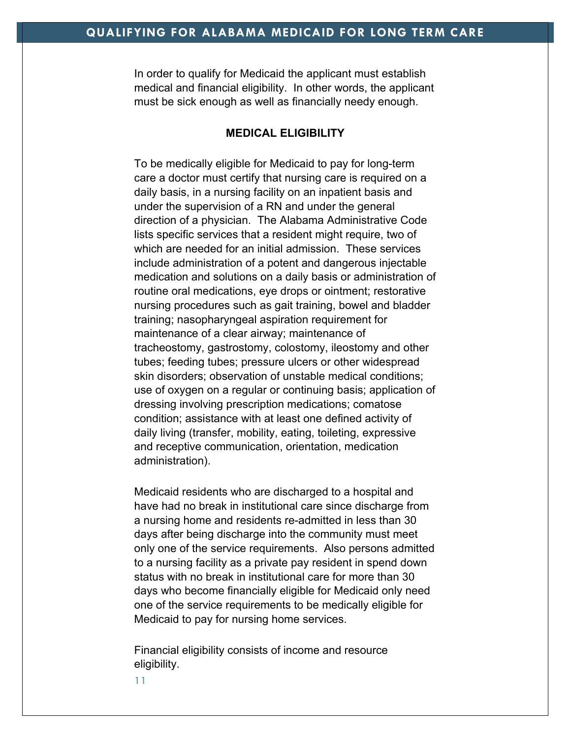In order to qualify for Medicaid the applicant must establish medical and financial eligibility. In other words, the applicant must be sick enough as well as financially needy enough.

## **MEDICAL ELIGIBILITY**

To be medically eligible for Medicaid to pay for long-term care a doctor must certify that nursing care is required on a daily basis, in a nursing facility on an inpatient basis and under the supervision of a RN and under the general direction of a physician. The Alabama Administrative Code lists specific services that a resident might require, two of which are needed for an initial admission. These services include administration of a potent and dangerous injectable medication and solutions on a daily basis or administration of routine oral medications, eye drops or ointment; restorative nursing procedures such as gait training, bowel and bladder training; nasopharyngeal aspiration requirement for maintenance of a clear airway; maintenance of tracheostomy, gastrostomy, colostomy, ileostomy and other tubes; feeding tubes; pressure ulcers or other widespread skin disorders; observation of unstable medical conditions; use of oxygen on a regular or continuing basis; application of dressing involving prescription medications; comatose condition; assistance with at least one defined activity of daily living (transfer, mobility, eating, toileting, expressive and receptive communication, orientation, medication administration).

Medicaid residents who are discharged to a hospital and have had no break in institutional care since discharge from a nursing home and residents re-admitted in less than 30 days after being discharge into the community must meet only one of the service requirements. Also persons admitted to a nursing facility as a private pay resident in spend down status with no break in institutional care for more than 30 days who become financially eligible for Medicaid only need one of the service requirements to be medically eligible for Medicaid to pay for nursing home services.

Financial eligibility consists of income and resource eligibility.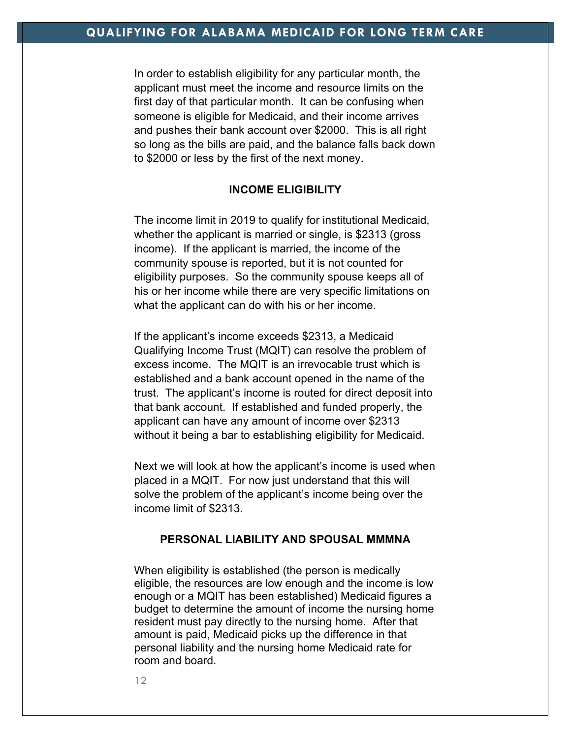In order to establish eligibility for any particular month, the applicant must meet the income and resource limits on the first day of that particular month. It can be confusing when someone is eligible for Medicaid, and their income arrives and pushes their bank account over \$2000. This is all right so long as the bills are paid, and the balance falls back down to \$2000 or less by the first of the next money.

## **INCOME ELIGIBILITY**

The income limit in 2019 to qualify for institutional Medicaid, whether the applicant is married or single, is \$2313 (gross income). If the applicant is married, the income of the community spouse is reported, but it is not counted for eligibility purposes. So the community spouse keeps all of his or her income while there are very specific limitations on what the applicant can do with his or her income.

If the applicant's income exceeds \$2313, a Medicaid Qualifying Income Trust (MQIT) can resolve the problem of excess income. The MQIT is an irrevocable trust which is established and a bank account opened in the name of the trust. The applicant's income is routed for direct deposit into that bank account. If established and funded properly, the applicant can have any amount of income over \$2313 without it being a bar to establishing eligibility for Medicaid.

Next we will look at how the applicant's income is used when placed in a MQIT. For now just understand that this will solve the problem of the applicant's income being over the income limit of \$2313.

## **PERSONAL LIABILITY AND SPOUSAL MMMNA**

When eligibility is established (the person is medically eligible, the resources are low enough and the income is low enough or a MQIT has been established) Medicaid figures a budget to determine the amount of income the nursing home resident must pay directly to the nursing home. After that amount is paid, Medicaid picks up the difference in that personal liability and the nursing home Medicaid rate for room and board.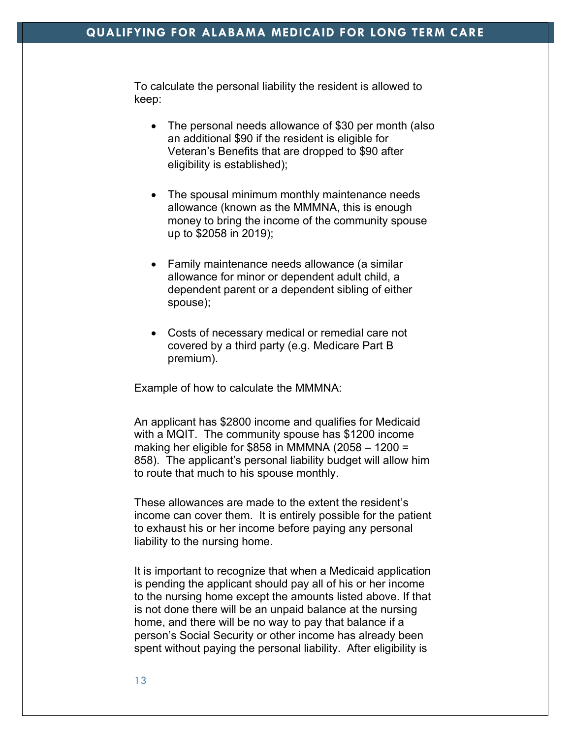To calculate the personal liability the resident is allowed to keep:

- The personal needs allowance of \$30 per month (also an additional \$90 if the resident is eligible for Veteran's Benefits that are dropped to \$90 after eligibility is established);
- The spousal minimum monthly maintenance needs allowance (known as the MMMNA, this is enough money to bring the income of the community spouse up to \$2058 in 2019);
- Family maintenance needs allowance (a similar allowance for minor or dependent adult child, a dependent parent or a dependent sibling of either spouse);
- Costs of necessary medical or remedial care not covered by a third party (e.g. Medicare Part B premium).

Example of how to calculate the MMMNA:

An applicant has \$2800 income and qualifies for Medicaid with a MQIT. The community spouse has \$1200 income making her eligible for \$858 in MMMNA (2058  $-$  1200 = 858). The applicant's personal liability budget will allow him to route that much to his spouse monthly.

These allowances are made to the extent the resident's income can cover them. It is entirely possible for the patient to exhaust his or her income before paying any personal liability to the nursing home.

It is important to recognize that when a Medicaid application is pending the applicant should pay all of his or her income to the nursing home except the amounts listed above. If that is not done there will be an unpaid balance at the nursing home, and there will be no way to pay that balance if a person's Social Security or other income has already been spent without paying the personal liability. After eligibility is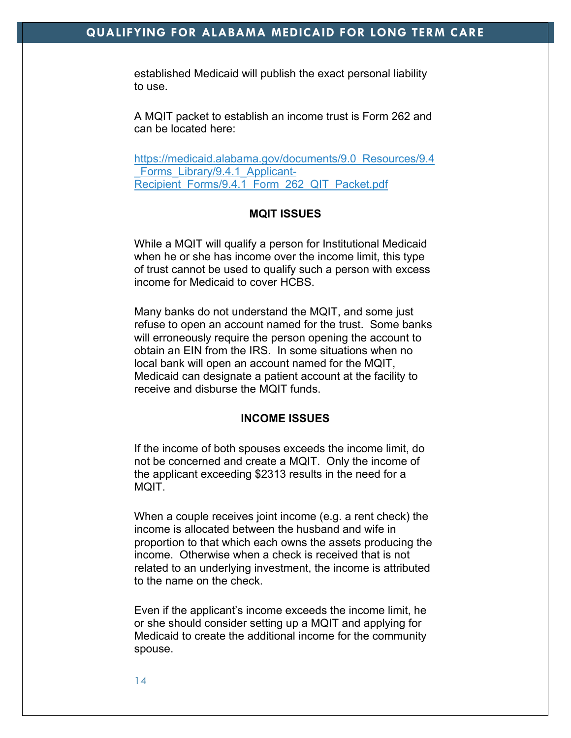established Medicaid will publish the exact personal liability to use.

A MQIT packet to establish an income trust is Form 262 and can be located here:

https://medicaid.alabama.gov/documents/9.0\_Resources/9.4 Forms Library/9.4.1 Applicant-Recipient\_Forms/9.4.1\_Form\_262\_QIT\_Packet.pdf

#### **MQIT ISSUES**

While a MQIT will qualify a person for Institutional Medicaid when he or she has income over the income limit, this type of trust cannot be used to qualify such a person with excess income for Medicaid to cover HCBS.

Many banks do not understand the MQIT, and some just refuse to open an account named for the trust. Some banks will erroneously require the person opening the account to obtain an EIN from the IRS. In some situations when no local bank will open an account named for the MQIT, Medicaid can designate a patient account at the facility to receive and disburse the MQIT funds.

#### **INCOME ISSUES**

If the income of both spouses exceeds the income limit, do not be concerned and create a MQIT. Only the income of the applicant exceeding \$2313 results in the need for a MQIT.

When a couple receives joint income (e.g. a rent check) the income is allocated between the husband and wife in proportion to that which each owns the assets producing the income. Otherwise when a check is received that is not related to an underlying investment, the income is attributed to the name on the check.

Even if the applicant's income exceeds the income limit, he or she should consider setting up a MQIT and applying for Medicaid to create the additional income for the community spouse.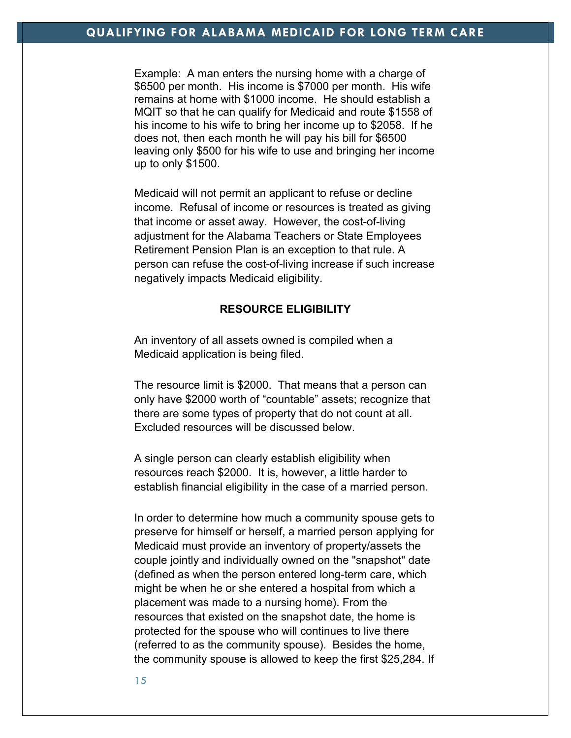Example: A man enters the nursing home with a charge of \$6500 per month. His income is \$7000 per month. His wife remains at home with \$1000 income. He should establish a MQIT so that he can qualify for Medicaid and route \$1558 of his income to his wife to bring her income up to \$2058. If he does not, then each month he will pay his bill for \$6500 leaving only \$500 for his wife to use and bringing her income up to only \$1500.

Medicaid will not permit an applicant to refuse or decline income. Refusal of income or resources is treated as giving that income or asset away. However, the cost-of-living adjustment for the Alabama Teachers or State Employees Retirement Pension Plan is an exception to that rule. A person can refuse the cost-of-living increase if such increase negatively impacts Medicaid eligibility.

## **RESOURCE ELIGIBILITY**

An inventory of all assets owned is compiled when a Medicaid application is being filed.

The resource limit is \$2000. That means that a person can only have \$2000 worth of "countable" assets; recognize that there are some types of property that do not count at all. Excluded resources will be discussed below.

A single person can clearly establish eligibility when resources reach \$2000. It is, however, a little harder to establish financial eligibility in the case of a married person.

In order to determine how much a community spouse gets to preserve for himself or herself, a married person applying for Medicaid must provide an inventory of property/assets the couple jointly and individually owned on the "snapshot" date (defined as when the person entered long-term care, which might be when he or she entered a hospital from which a placement was made to a nursing home). From the resources that existed on the snapshot date, the home is protected for the spouse who will continues to live there (referred to as the community spouse). Besides the home, the community spouse is allowed to keep the first \$25,284. If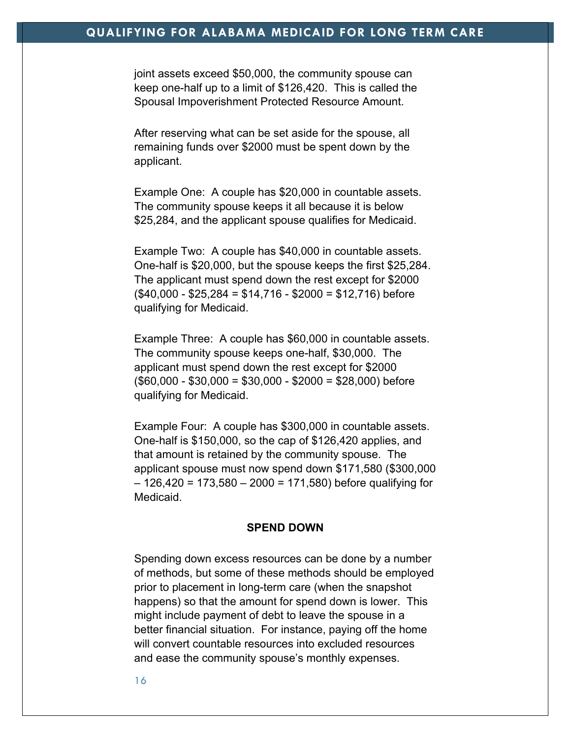joint assets exceed \$50,000, the community spouse can keep one-half up to a limit of \$126,420. This is called the Spousal Impoverishment Protected Resource Amount.

After reserving what can be set aside for the spouse, all remaining funds over \$2000 must be spent down by the applicant.

Example One: A couple has \$20,000 in countable assets. The community spouse keeps it all because it is below \$25,284, and the applicant spouse qualifies for Medicaid.

Example Two: A couple has \$40,000 in countable assets. One-half is \$20,000, but the spouse keeps the first \$25,284. The applicant must spend down the rest except for \$2000  $($40,000 - $25,284 = $14,716 - $2000 = $12,716)$  before qualifying for Medicaid.

Example Three: A couple has \$60,000 in countable assets. The community spouse keeps one-half, \$30,000. The applicant must spend down the rest except for \$2000  $($60,000 - $30,000 = $30,000 - $2000 = $28,000)$  before qualifying for Medicaid.

Example Four: A couple has \$300,000 in countable assets. One-half is \$150,000, so the cap of \$126,420 applies, and that amount is retained by the community spouse. The applicant spouse must now spend down \$171,580 (\$300,000  $-126,420 = 173,580 - 2000 = 171,580$  before qualifying for Medicaid.

#### **SPEND DOWN**

Spending down excess resources can be done by a number of methods, but some of these methods should be employed prior to placement in long-term care (when the snapshot happens) so that the amount for spend down is lower. This might include payment of debt to leave the spouse in a better financial situation. For instance, paying off the home will convert countable resources into excluded resources and ease the community spouse's monthly expenses.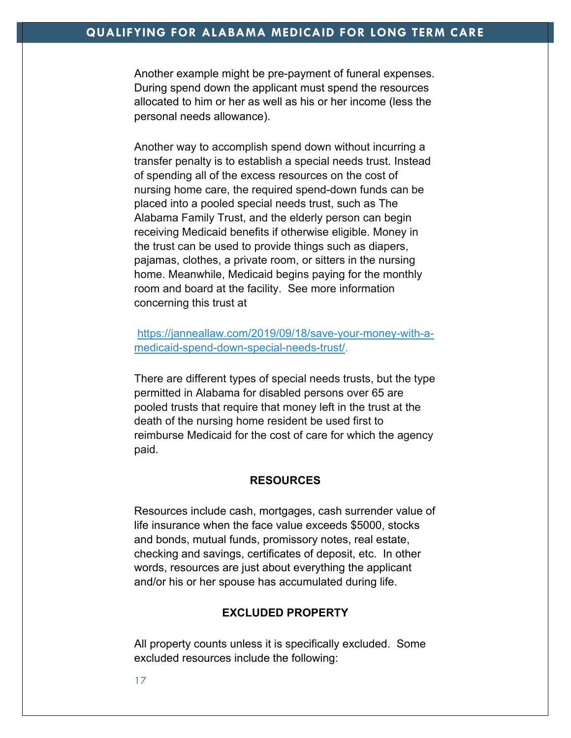Another example might be pre-payment of funeral expenses. During spend down the applicant must spend the resources allocated to him or her as well as his or her income (less the personal needs allowance).

Another way to accomplish spend down without incurring a transfer penalty is to establish a special needs trust. Instead of spending all of the excess resources on the cost of nursing home care, the required spend-down funds can be placed into a pooled special needs trust, such as The Alabama Family Trust, and the elderly person can begin receiving Medicaid benefits if otherwise eligible. Money in the trust can be used to provide things such as diapers, pajamas, clothes, a private room, or sitters in the nursing home. Meanwhile, Medicaid begins paying for the monthly room and board at the facility. See more information concerning this trust at

https://janneallaw.com/2019/09/18/save-your-money-with-amedicaid-spend-down-special-needs-trust/.

There are different types of special needs trusts, but the type permitted in Alabama for disabled persons over 65 are pooled trusts that require that money left in the trust at the death of the nursing home resident be used first to reimburse Medicaid for the cost of care for which the agency paid.

#### **RESOURCES**

Resources include cash, mortgages, cash surrender value of life insurance when the face value exceeds \$5000, stocks and bonds, mutual funds, promissory notes, real estate, checking and savings, certificates of deposit, etc. In other words, resources are just about everything the applicant and/or his or her spouse has accumulated during life.

#### **EXCLUDED PROPERTY**

All property counts unless it is specifically excluded. Some excluded resources include the following: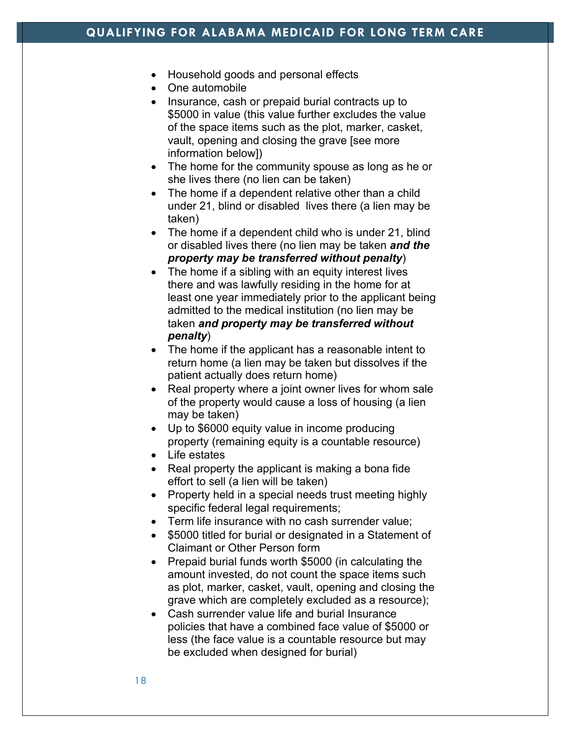- Household goods and personal effects
- One automobile
- Insurance, cash or prepaid burial contracts up to \$5000 in value (this value further excludes the value of the space items such as the plot, marker, casket, vault, opening and closing the grave [see more information below])
- The home for the community spouse as long as he or she lives there (no lien can be taken)
- The home if a dependent relative other than a child under 21, blind or disabled lives there (a lien may be taken)
- The home if a dependent child who is under 21, blind or disabled lives there (no lien may be taken *and the property may be transferred without penalty*)
- The home if a sibling with an equity interest lives there and was lawfully residing in the home for at least one year immediately prior to the applicant being admitted to the medical institution (no lien may be taken *and property may be transferred without penalty*)
- The home if the applicant has a reasonable intent to return home (a lien may be taken but dissolves if the patient actually does return home)
- Real property where a joint owner lives for whom sale of the property would cause a loss of housing (a lien may be taken)
- Up to \$6000 equity value in income producing property (remaining equity is a countable resource)
- Life estates
- Real property the applicant is making a bona fide effort to sell (a lien will be taken)
- Property held in a special needs trust meeting highly specific federal legal requirements;
- Term life insurance with no cash surrender value;
- \$5000 titled for burial or designated in a Statement of Claimant or Other Person form
- Prepaid burial funds worth \$5000 (in calculating the amount invested, do not count the space items such as plot, marker, casket, vault, opening and closing the grave which are completely excluded as a resource);
- Cash surrender value life and burial Insurance policies that have a combined face value of \$5000 or less (the face value is a countable resource but may be excluded when designed for burial)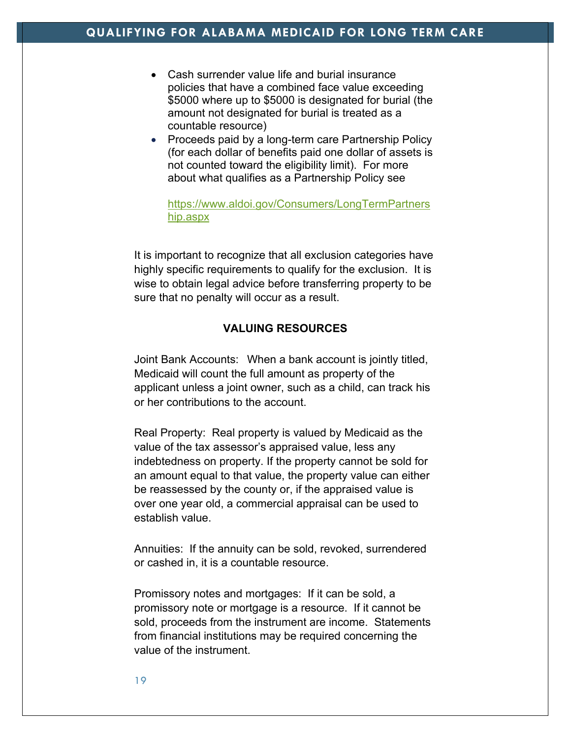- Cash surrender value life and burial insurance policies that have a combined face value exceeding \$5000 where up to \$5000 is designated for burial (the amount not designated for burial is treated as a countable resource)
- Proceeds paid by a long-term care Partnership Policy (for each dollar of benefits paid one dollar of assets is not counted toward the eligibility limit). For more about what qualifies as a Partnership Policy see

## https://www.aldoi.gov/Consumers/LongTermPartners hip.aspx

It is important to recognize that all exclusion categories have highly specific requirements to qualify for the exclusion. It is wise to obtain legal advice before transferring property to be sure that no penalty will occur as a result.

# **VALUING RESOURCES**

Joint Bank Accounts: When a bank account is jointly titled, Medicaid will count the full amount as property of the applicant unless a joint owner, such as a child, can track his or her contributions to the account.

Real Property: Real property is valued by Medicaid as the value of the tax assessor's appraised value, less any indebtedness on property. If the property cannot be sold for an amount equal to that value, the property value can either be reassessed by the county or, if the appraised value is over one year old, a commercial appraisal can be used to establish value.

Annuities: If the annuity can be sold, revoked, surrendered or cashed in, it is a countable resource.

Promissory notes and mortgages: If it can be sold, a promissory note or mortgage is a resource. If it cannot be sold, proceeds from the instrument are income. Statements from financial institutions may be required concerning the value of the instrument.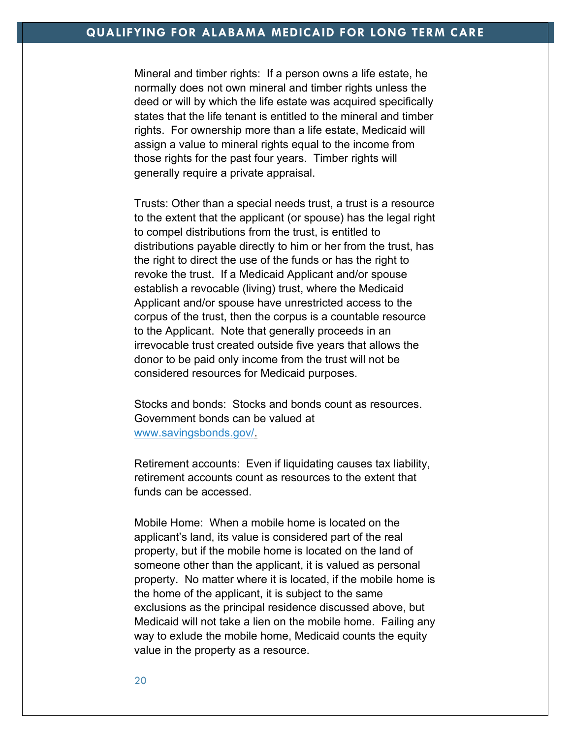Mineral and timber rights: If a person owns a life estate, he normally does not own mineral and timber rights unless the deed or will by which the life estate was acquired specifically states that the life tenant is entitled to the mineral and timber rights. For ownership more than a life estate, Medicaid will assign a value to mineral rights equal to the income from those rights for the past four years. Timber rights will generally require a private appraisal.

Trusts: Other than a special needs trust, a trust is a resource to the extent that the applicant (or spouse) has the legal right to compel distributions from the trust, is entitled to distributions payable directly to him or her from the trust, has the right to direct the use of the funds or has the right to revoke the trust. If a Medicaid Applicant and/or spouse establish a revocable (living) trust, where the Medicaid Applicant and/or spouse have unrestricted access to the corpus of the trust, then the corpus is a countable resource to the Applicant. Note that generally proceeds in an irrevocable trust created outside five years that allows the donor to be paid only income from the trust will not be considered resources for Medicaid purposes.

Stocks and bonds: Stocks and bonds count as resources. Government bonds can be valued at www.savingsbonds.gov/.

Retirement accounts: Even if liquidating causes tax liability, retirement accounts count as resources to the extent that funds can be accessed.

Mobile Home: When a mobile home is located on the applicant's land, its value is considered part of the real property, but if the mobile home is located on the land of someone other than the applicant, it is valued as personal property. No matter where it is located, if the mobile home is the home of the applicant, it is subject to the same exclusions as the principal residence discussed above, but Medicaid will not take a lien on the mobile home. Failing any way to exlude the mobile home, Medicaid counts the equity value in the property as a resource.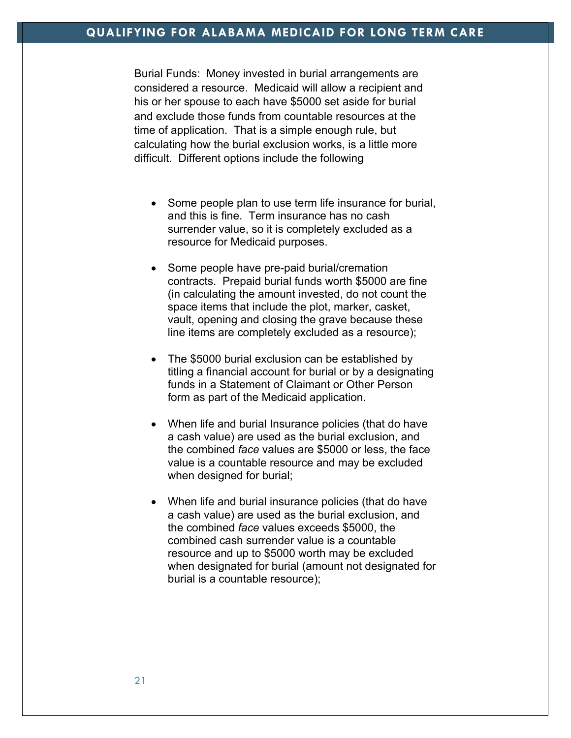Burial Funds: Money invested in burial arrangements are considered a resource. Medicaid will allow a recipient and his or her spouse to each have \$5000 set aside for burial and exclude those funds from countable resources at the time of application. That is a simple enough rule, but calculating how the burial exclusion works, is a little more difficult. Different options include the following

- Some people plan to use term life insurance for burial, and this is fine. Term insurance has no cash surrender value, so it is completely excluded as a resource for Medicaid purposes.
- Some people have pre-paid burial/cremation contracts. Prepaid burial funds worth \$5000 are fine (in calculating the amount invested, do not count the space items that include the plot, marker, casket, vault, opening and closing the grave because these line items are completely excluded as a resource);
- The \$5000 burial exclusion can be established by titling a financial account for burial or by a designating funds in a Statement of Claimant or Other Person form as part of the Medicaid application.
- When life and burial Insurance policies (that do have a cash value) are used as the burial exclusion, and the combined *face* values are \$5000 or less, the face value is a countable resource and may be excluded when designed for burial;
- When life and burial insurance policies (that do have a cash value) are used as the burial exclusion, and the combined *face* values exceeds \$5000, the combined cash surrender value is a countable resource and up to \$5000 worth may be excluded when designated for burial (amount not designated for burial is a countable resource);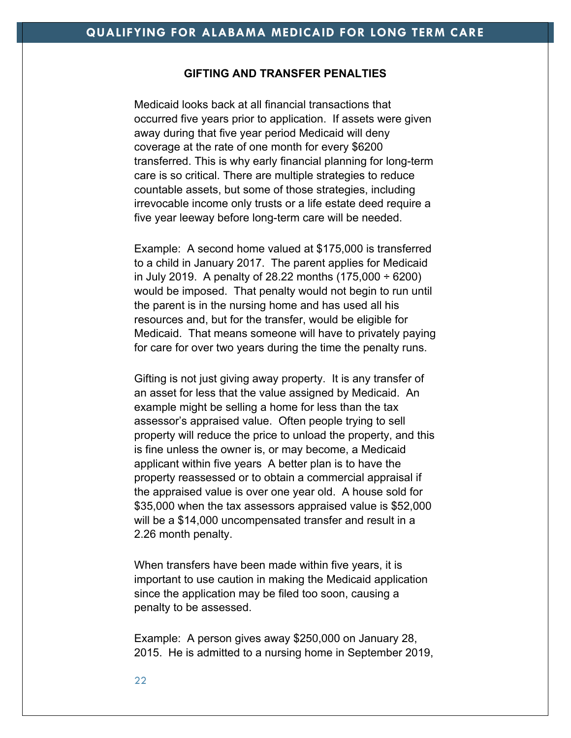## **GIFTING AND TRANSFER PENALTIES**

Medicaid looks back at all financial transactions that occurred five years prior to application. If assets were given away during that five year period Medicaid will deny coverage at the rate of one month for every \$6200 transferred. This is why early financial planning for long-term care is so critical. There are multiple strategies to reduce countable assets, but some of those strategies, including irrevocable income only trusts or a life estate deed require a five year leeway before long-term care will be needed.

Example: A second home valued at \$175,000 is transferred to a child in January 2017. The parent applies for Medicaid in July 2019. A penalty of 28.22 months  $(175,000 \div 6200)$ would be imposed. That penalty would not begin to run until the parent is in the nursing home and has used all his resources and, but for the transfer, would be eligible for Medicaid. That means someone will have to privately paying for care for over two years during the time the penalty runs.

Gifting is not just giving away property. It is any transfer of an asset for less that the value assigned by Medicaid. An example might be selling a home for less than the tax assessor's appraised value. Often people trying to sell property will reduce the price to unload the property, and this is fine unless the owner is, or may become, a Medicaid applicant within five years A better plan is to have the property reassessed or to obtain a commercial appraisal if the appraised value is over one year old. A house sold for \$35,000 when the tax assessors appraised value is \$52,000 will be a \$14,000 uncompensated transfer and result in a 2.26 month penalty.

When transfers have been made within five years, it is important to use caution in making the Medicaid application since the application may be filed too soon, causing a penalty to be assessed.

Example: A person gives away \$250,000 on January 28, 2015. He is admitted to a nursing home in September 2019,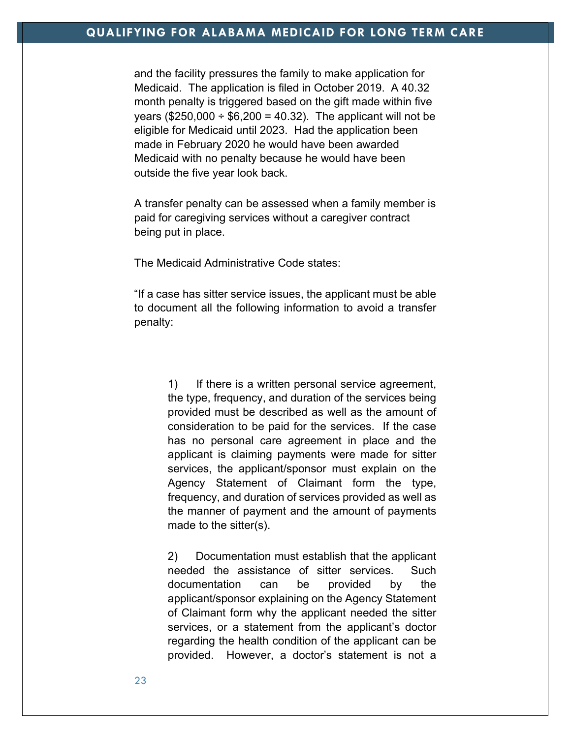# **QUALIFYING FOR ALABAMA MEDICAID FOR LONG TERM CARE**

and the facility pressures the family to make application for Medicaid. The application is filed in October 2019. A 40.32 month penalty is triggered based on the gift made within five years (\$250,000  $\div$  \$6,200 = 40.32). The applicant will not be eligible for Medicaid until 2023. Had the application been made in February 2020 he would have been awarded Medicaid with no penalty because he would have been outside the five year look back.

A transfer penalty can be assessed when a family member is paid for caregiving services without a caregiver contract being put in place.

The Medicaid Administrative Code states:

"If a case has sitter service issues, the applicant must be able to document all the following information to avoid a transfer penalty:

> 1) If there is a written personal service agreement, the type, frequency, and duration of the services being provided must be described as well as the amount of consideration to be paid for the services. If the case has no personal care agreement in place and the applicant is claiming payments were made for sitter services, the applicant/sponsor must explain on the Agency Statement of Claimant form the type, frequency, and duration of services provided as well as the manner of payment and the amount of payments made to the sitter(s).

> 2) Documentation must establish that the applicant needed the assistance of sitter services. Such documentation can be provided by the applicant/sponsor explaining on the Agency Statement of Claimant form why the applicant needed the sitter services, or a statement from the applicant's doctor regarding the health condition of the applicant can be provided. However, a doctor's statement is not a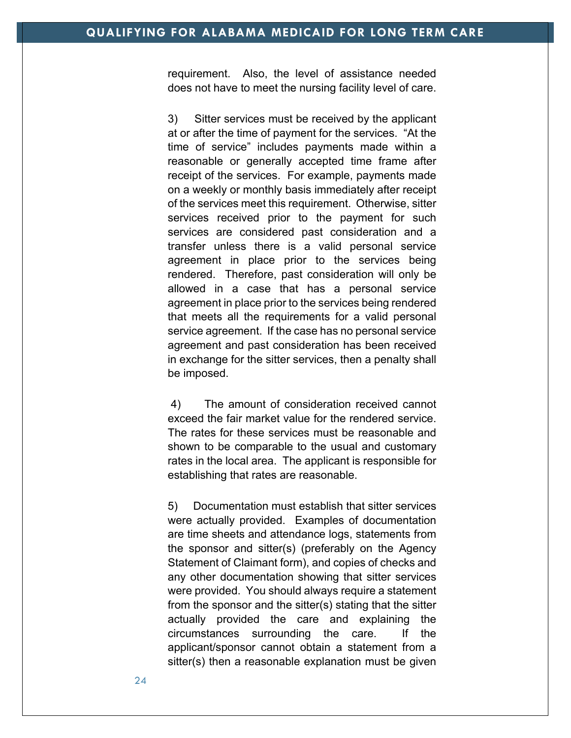requirement. Also, the level of assistance needed does not have to meet the nursing facility level of care.

3) Sitter services must be received by the applicant at or after the time of payment for the services. "At the time of service" includes payments made within a reasonable or generally accepted time frame after receipt of the services. For example, payments made on a weekly or monthly basis immediately after receipt of the services meet this requirement. Otherwise, sitter services received prior to the payment for such services are considered past consideration and a transfer unless there is a valid personal service agreement in place prior to the services being rendered. Therefore, past consideration will only be allowed in a case that has a personal service agreement in place prior to the services being rendered that meets all the requirements for a valid personal service agreement. If the case has no personal service agreement and past consideration has been received in exchange for the sitter services, then a penalty shall be imposed.

4) The amount of consideration received cannot exceed the fair market value for the rendered service. The rates for these services must be reasonable and shown to be comparable to the usual and customary rates in the local area. The applicant is responsible for establishing that rates are reasonable.

5) Documentation must establish that sitter services were actually provided. Examples of documentation are time sheets and attendance logs, statements from the sponsor and sitter(s) (preferably on the Agency Statement of Claimant form), and copies of checks and any other documentation showing that sitter services were provided. You should always require a statement from the sponsor and the sitter(s) stating that the sitter actually provided the care and explaining the circumstances surrounding the care. If the applicant/sponsor cannot obtain a statement from a sitter(s) then a reasonable explanation must be given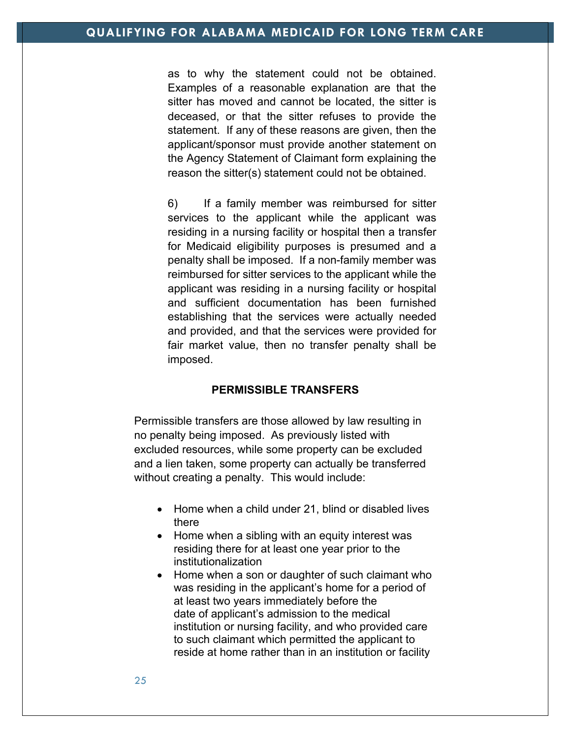as to why the statement could not be obtained. Examples of a reasonable explanation are that the sitter has moved and cannot be located, the sitter is deceased, or that the sitter refuses to provide the statement. If any of these reasons are given, then the applicant/sponsor must provide another statement on the Agency Statement of Claimant form explaining the reason the sitter(s) statement could not be obtained.

6) If a family member was reimbursed for sitter services to the applicant while the applicant was residing in a nursing facility or hospital then a transfer for Medicaid eligibility purposes is presumed and a penalty shall be imposed. If a non-family member was reimbursed for sitter services to the applicant while the applicant was residing in a nursing facility or hospital and sufficient documentation has been furnished establishing that the services were actually needed and provided, and that the services were provided for fair market value, then no transfer penalty shall be imposed.

## **PERMISSIBLE TRANSFERS**

Permissible transfers are those allowed by law resulting in no penalty being imposed. As previously listed with excluded resources, while some property can be excluded and a lien taken, some property can actually be transferred without creating a penalty. This would include:

- Home when a child under 21, blind or disabled lives there
- Home when a sibling with an equity interest was residing there for at least one year prior to the institutionalization
- Home when a son or daughter of such claimant who was residing in the applicant's home for a period of at least two years immediately before the date of applicant's admission to the medical institution or nursing facility, and who provided care to such claimant which permitted the applicant to reside at home rather than in an institution or facility